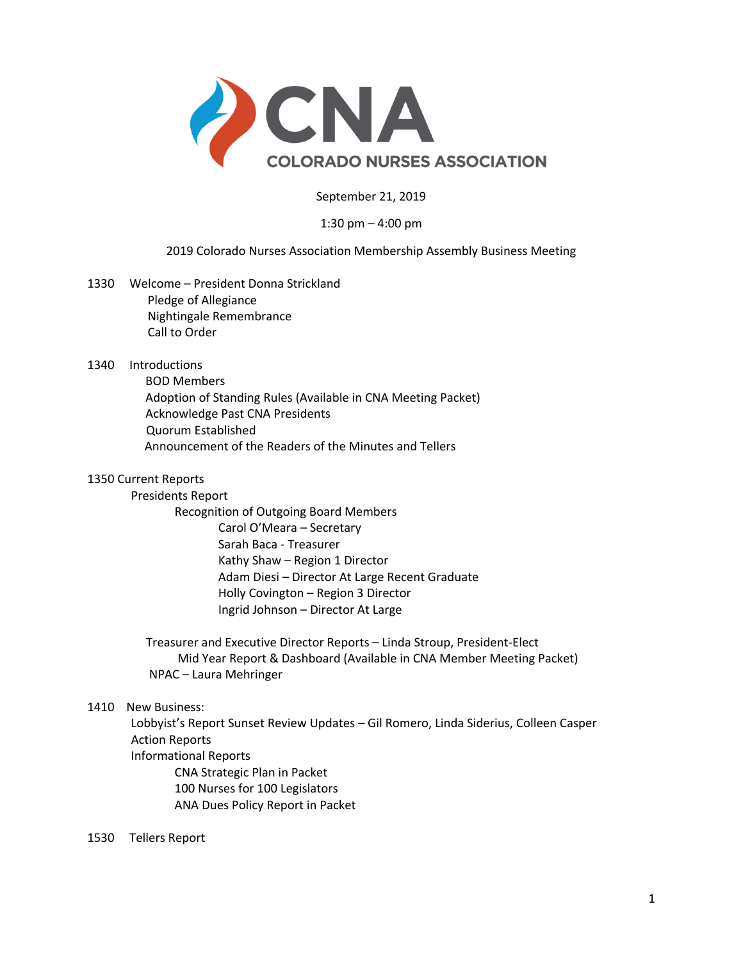

September 21, 2019

## 1:30 pm – 4:00 pm

## 2019 Colorado Nurses Association Membership Assembly Business Meeting

- 1330 Welcome President Donna Strickland Pledge of Allegiance Nightingale Remembrance Call to Order
- 1340 Introductions
	- BOD Members Adoption of Standing Rules (Available in CNA Meeting Packet) Acknowledge Past CNA Presidents Quorum Established Announcement of the Readers of the Minutes and Tellers

## 1350 Current Reports

Presidents Report

Recognition of Outgoing Board Members Carol O'Meara – Secretary Sarah Baca - Treasurer Kathy Shaw – Region 1 Director Adam Diesi – Director At Large Recent Graduate Holly Covington – Region 3 Director Ingrid Johnson – Director At Large

 Treasurer and Executive Director Reports – Linda Stroup, President-Elect Mid Year Report & Dashboard (Available in CNA Member Meeting Packet) NPAC – Laura Mehringer

## 1410 New Business:

Lobbyist's Report Sunset Review Updates – Gil Romero, Linda Siderius, Colleen Casper Action Reports Informational Reports CNA Strategic Plan in Packet 100 Nurses for 100 Legislators ANA Dues Policy Report in Packet

1530 Tellers Report